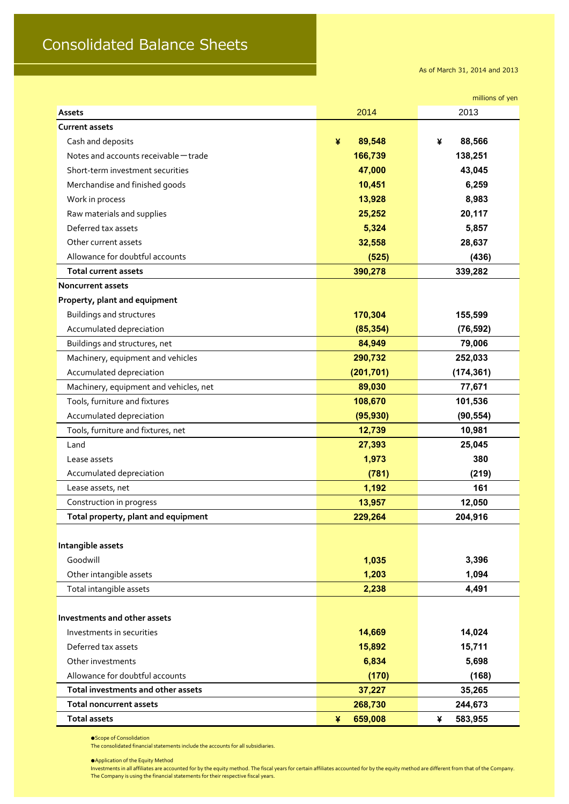## Consolidated Balance Sheets

As of March 31, 2014 and 2013

|                                        |              | millions of yen |
|----------------------------------------|--------------|-----------------|
| Assets                                 | 2014         | 2013            |
| <b>Current assets</b>                  |              |                 |
| Cash and deposits                      | ¥<br>89,548  | 88,566<br>¥     |
| Notes and accounts receivable - trade  | 166,739      | 138,251         |
| Short-term investment securities       | 47,000       | 43,045          |
| Merchandise and finished goods         | 10,451       | 6,259           |
| Work in process                        | 13,928       | 8,983           |
| Raw materials and supplies             | 25,252       | 20,117          |
| Deferred tax assets                    | 5,324        | 5,857           |
| Other current assets                   | 32,558       | 28,637          |
| Allowance for doubtful accounts        | (525)        | (436)           |
| <b>Total current assets</b>            | 390,278      | 339,282         |
| <b>Noncurrent assets</b>               |              |                 |
| Property, plant and equipment          |              |                 |
| <b>Buildings and structures</b>        | 170,304      | 155,599         |
| Accumulated depreciation               | (85, 354)    | (76, 592)       |
| Buildings and structures, net          | 84,949       | 79,006          |
| Machinery, equipment and vehicles      | 290,732      | 252,033         |
| Accumulated depreciation               | (201, 701)   | (174, 361)      |
| Machinery, equipment and vehicles, net | 89,030       | 77,671          |
| Tools, furniture and fixtures          | 108,670      | 101,536         |
| Accumulated depreciation               | (95, 930)    | (90, 554)       |
| Tools, furniture and fixtures, net     | 12,739       | 10,981          |
| Land                                   | 27,393       | 25,045          |
| Lease assets                           | 1,973        | 380             |
| Accumulated depreciation               | (781)        | (219)           |
| Lease assets, net                      | 1,192        | 161             |
| Construction in progress               | 13,957       | 12,050          |
| Total property, plant and equipment    | 229,264      | 204,916         |
|                                        |              |                 |
| Intangible assets                      |              |                 |
| Goodwill                               | 1,035        | 3,396           |
| Other intangible assets                | 1,203        | 1,094           |
| Total intangible assets                | 2,238        | 4,491           |
|                                        |              |                 |
| Investments and other assets           |              |                 |
| Investments in securities              | 14,669       | 14,024          |
| Deferred tax assets                    | 15,892       | 15,711          |
| Other investments                      | 6,834        | 5,698           |
| Allowance for doubtful accounts        | (170)        | (168)           |
| Total investments and other assets     | 37,227       | 35,265          |
| <b>Total noncurrent assets</b>         | 268,730      | 244,673         |
| <b>Total assets</b>                    | 659,008<br>¥ | 583,955<br>¥    |

●Scope of Consolidation

The consolidated financial statements include the accounts for all subsidiaries.

●Application of the Equity Method

Investments in all affiliates are accounted for by the equity method. The fiscal years for certain affiliates accounted for by the equity method are different from that of the Company. The Company is using the financial statements for their respective fiscal years.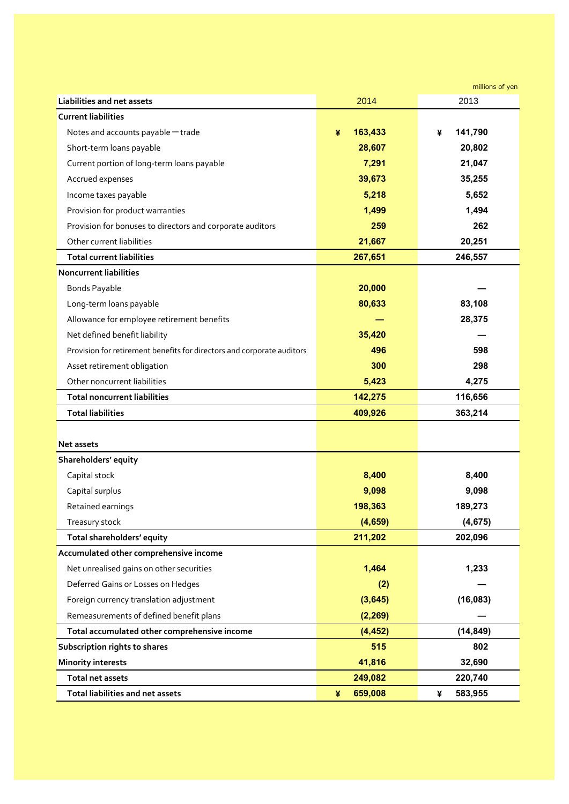|                                                                        |              | millions of yen |
|------------------------------------------------------------------------|--------------|-----------------|
| <b>Liabilities and net assets</b>                                      | 2014         | 2013            |
| <b>Current liabilities</b>                                             |              |                 |
| Notes and accounts payable - trade                                     | 163,433<br>¥ | 141,790<br>¥    |
| Short-term loans payable                                               | 28,607       | 20,802          |
| Current portion of long-term loans payable                             | 7,291        | 21,047          |
| Accrued expenses                                                       | 39,673       | 35,255          |
| Income taxes payable                                                   | 5,218        | 5,652           |
| Provision for product warranties                                       | 1,499        | 1,494           |
| Provision for bonuses to directors and corporate auditors              | 259          | 262             |
| Other current liabilities                                              | 21,667       | 20,251          |
| <b>Total current liabilities</b>                                       | 267,651      | 246,557         |
| <b>Noncurrent liabilities</b>                                          |              |                 |
| <b>Bonds Payable</b>                                                   | 20,000       |                 |
| Long-term loans payable                                                | 80,633       | 83,108          |
| Allowance for employee retirement benefits                             |              | 28,375          |
| Net defined benefit liability                                          | 35,420       |                 |
| Provision for retirement benefits for directors and corporate auditors | 496          | 598             |
| Asset retirement obligation                                            | 300          | 298             |
| Other noncurrent liabilities                                           | 5,423        | 4,275           |
| <b>Total noncurrent liabilities</b>                                    | 142,275      | 116,656         |
| <b>Total liabilities</b>                                               | 409,926      | 363,214         |
|                                                                        |              |                 |
| <b>Net assets</b>                                                      |              |                 |
| Shareholders' equity                                                   |              |                 |
| Capital stock                                                          | 8,400        | 8,400           |
| Capital surplus                                                        | 9,098        | 9,098           |
| Retained earnings                                                      | 198,363      | 189,273         |
| Treasury stock                                                         | (4,659)      | (4, 675)        |
| Total shareholders' equity                                             | 211,202      | 202,096         |
| Accumulated other comprehensive income                                 |              |                 |
| Net unrealised gains on other securities                               | 1,464        | 1,233           |
| Deferred Gains or Losses on Hedges                                     | (2)          |                 |
| Foreign currency translation adjustment                                | (3,645)      | (16,083)        |
| Remeasurements of defined benefit plans                                | (2, 269)     |                 |
| Total accumulated other comprehensive income                           | (4, 452)     | (14, 849)       |
| Subscription rights to shares                                          | 515          | 802             |
| <b>Minority interests</b>                                              | 41,816       | 32,690          |
| Total net assets                                                       | 249,082      | 220,740         |
| Total liabilities and net assets                                       | 659,008<br>¥ | 583,955<br>¥    |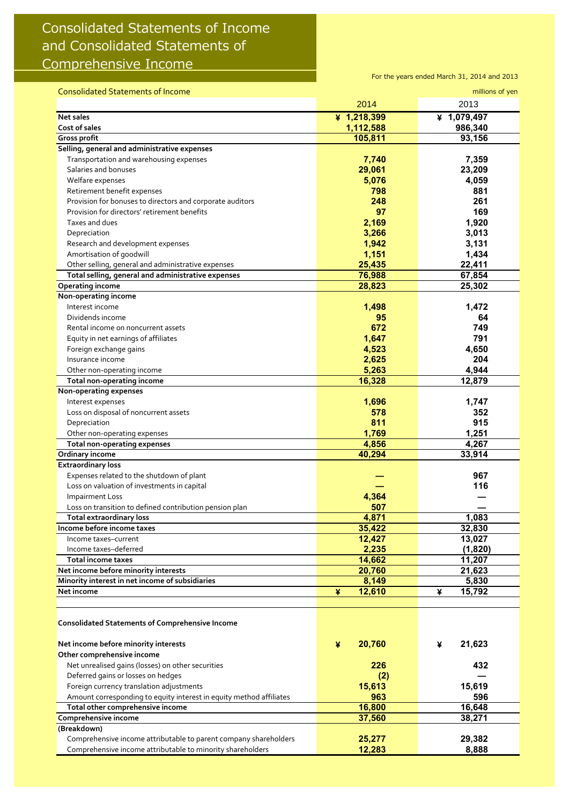## Consolidated Statements of Income and Consolidated Statements of Comprehensive Income

For the years ended March 31, 2014 and 2013

| <b>Consolidated Statements of Income</b>                            |             | millions of yen |
|---------------------------------------------------------------------|-------------|-----------------|
|                                                                     | 2014        | 2013            |
| Net sales                                                           | ¥ 1,218,399 | ¥ 1,079,497     |
| Cost of sales                                                       | 1,112,588   | 986,340         |
| Gross profit                                                        | 105,811     | 93,156          |
| Selling, general and administrative expenses                        |             |                 |
| Transportation and warehousing expenses                             | 7,740       | 7,359           |
| Salaries and bonuses                                                | 29,061      | 23,209          |
| Welfare expenses                                                    | 5,076       | 4,059           |
| Retirement benefit expenses                                         | 798         | 881             |
| Provision for bonuses to directors and corporate auditors           | 248         | 261             |
| Provision for directors' retirement benefits                        | 97          | 169             |
| Taxes and dues                                                      | 2,169       | 1,920           |
| Depreciation                                                        | 3,266       | 3,013           |
| Research and development expenses                                   | 1,942       | 3,131           |
| Amortisation of goodwill                                            | 1,151       | 1,434           |
| Other selling, general and administrative expenses                  | 25,435      | 22,411          |
| Total selling, general and administrative expenses                  | 76,988      | 67,854          |
| <b>Operating income</b>                                             | 28,823      | 25,302          |
| Non-operating income                                                |             |                 |
| Interest income                                                     |             | 1,472           |
|                                                                     | 1,498       |                 |
| Dividends income                                                    | 95<br>672   | 64              |
| Rental income on noncurrent assets                                  |             | 749             |
| Equity in net earnings of affiliates                                | 1,647       | 791             |
| Foreign exchange gains                                              | 4,523       | 4,650           |
| Insurance income                                                    | 2,625       | 204             |
| Other non-operating income                                          | 5,263       | 4,944           |
| Total non-operating income                                          | 16,328      | 12,879          |
| Non-operating expenses                                              |             |                 |
| Interest expenses                                                   | 1,696       | 1,747           |
| Loss on disposal of noncurrent assets                               | 578         | 352             |
| Depreciation                                                        | 811         | 915             |
| Other non-operating expenses                                        | 1,769       | 1,251           |
| Total non-operating expenses                                        | 4,856       | 4,267           |
| Ordinary income                                                     | 40,294      | 33,914          |
| <b>Extraordinary loss</b>                                           |             |                 |
| Expenses related to the shutdown of plant                           |             | 967             |
| Loss on valuation of investments in capital                         |             | 116             |
| <b>Impairment Loss</b>                                              | 4,364       |                 |
| Loss on transition to defined contribution pension plan             | 507         |                 |
| <b>Total extraordinary loss</b>                                     | 4,871       | 1,083           |
| Income before income taxes                                          | 35,422      | 32,830          |
| Income taxes-current                                                | 12,427      | 13,027          |
| Income taxes-deferred                                               | 2,235       | (1,820)         |
| <b>Total income taxes</b>                                           | 14,662      | 11,207          |
| Net income before minority interests                                | 20,760      | 21,623          |
| Minority interest in net income of subsidiaries                     | 8,149       | 5,830           |
| Net income                                                          | 12,610<br>¥ | 15,792<br>¥     |
|                                                                     |             |                 |
|                                                                     |             |                 |
| <b>Consolidated Statements of Comprehensive Income</b>              |             |                 |
|                                                                     |             |                 |
| Net income before minority interests                                | 20,760<br>¥ | 21,623<br>¥     |
| Other comprehensive income                                          |             |                 |
| Net unrealised gains (losses) on other securities                   | 226         | 432             |
| Deferred gains or losses on hedges                                  | (2)         |                 |
| Foreign currency translation adjustments                            | 15,613      | 15,619          |
| Amount corresponding to equity interest in equity method affiliates | 963         | 596             |
| Total other comprehensive income                                    | 16,800      | 16,648          |
| Comprehensive income                                                | 37,560      | 38,271          |
| (Breakdown)                                                         |             |                 |
| Comprehensive income attributable to parent company shareholders    | 25,277      | 29,382          |
| Comprehensive income attributable to minority shareholders          | 12,283      | 8,888           |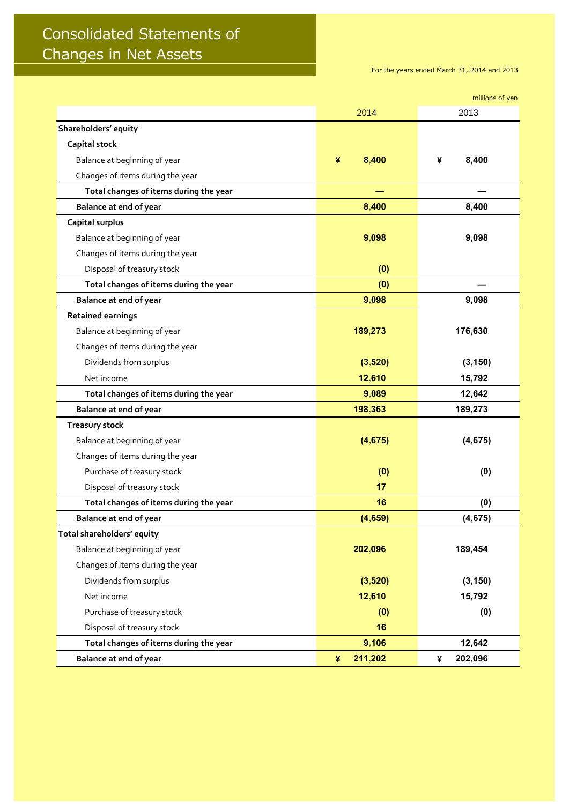## Consolidated Statements of Changes in Net Assets

For the years ended March 31, 2014 and 2013

|                                        |              | millions of yen |
|----------------------------------------|--------------|-----------------|
|                                        | 2014         | 2013            |
| Shareholders' equity                   |              |                 |
| <b>Capital stock</b>                   |              |                 |
| Balance at beginning of year           | 8,400<br>¥   | 8,400<br>¥      |
| Changes of items during the year       |              |                 |
| Total changes of items during the year |              |                 |
| Balance at end of year                 | 8,400        | 8,400           |
| Capital surplus                        |              |                 |
| Balance at beginning of year           | 9,098        | 9,098           |
| Changes of items during the year       |              |                 |
| Disposal of treasury stock             | (0)          |                 |
| Total changes of items during the year | (0)          |                 |
| Balance at end of year                 | 9,098        | 9,098           |
| <b>Retained earnings</b>               |              |                 |
| Balance at beginning of year           | 189,273      | 176,630         |
| Changes of items during the year       |              |                 |
| Dividends from surplus                 | (3,520)      | (3, 150)        |
| Net income                             | 12,610       | 15,792          |
| Total changes of items during the year | 9,089        | 12,642          |
| Balance at end of year                 | 198,363      | 189,273         |
| <b>Treasury stock</b>                  |              |                 |
| Balance at beginning of year           | (4,675)      | (4, 675)        |
| Changes of items during the year       |              |                 |
| Purchase of treasury stock             | (0)          | (0)             |
| Disposal of treasury stock             | 17           |                 |
| Total changes of items during the year | 16           | (0)             |
| Balance at end of year                 | (4,659)      | (4, 675)        |
| Total shareholders' equity             |              |                 |
| Balance at beginning of year           | 202,096      | 189,454         |
| Changes of items during the year       |              |                 |
| Dividends from surplus                 | (3,520)      | (3, 150)        |
| Net income                             | 12,610       | 15,792          |
| Purchase of treasury stock             | (0)          | (0)             |
| Disposal of treasury stock             | 16           |                 |
| Total changes of items during the year | 9,106        | 12,642          |
| Balance at end of year                 | 211,202<br>¥ | 202,096<br>¥    |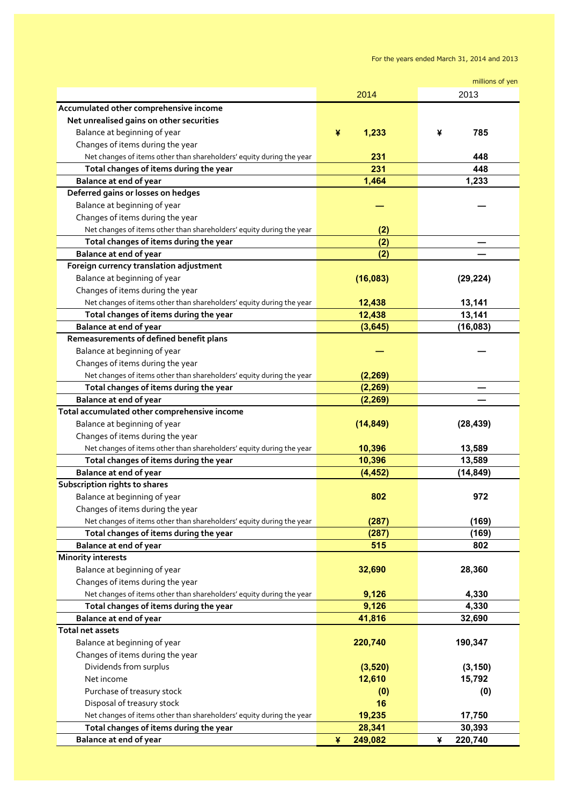For the years ended March 31, 2014 and 2013

|                                                                      |              | millions of yen |
|----------------------------------------------------------------------|--------------|-----------------|
|                                                                      | 2014         | 2013            |
| Accumulated other comprehensive income                               |              |                 |
| Net unrealised gains on other securities                             |              |                 |
| Balance at beginning of year                                         | ¥<br>1,233   | 785<br>¥        |
| Changes of items during the year                                     |              |                 |
| Net changes of items other than shareholders' equity during the year | 231          | 448             |
| Total changes of items during the year                               | 231          | 448             |
| <b>Balance at end of year</b>                                        | 1,464        | 1,233           |
| Deferred gains or losses on hedges                                   |              |                 |
| Balance at beginning of year                                         |              |                 |
| Changes of items during the year                                     |              |                 |
| Net changes of items other than shareholders' equity during the year | (2)          |                 |
| Total changes of items during the year                               | (2)          |                 |
| Balance at end of year                                               | (2)          |                 |
| Foreign currency translation adjustment                              |              |                 |
| Balance at beginning of year                                         | (16,083)     | (29, 224)       |
| Changes of items during the year                                     |              |                 |
| Net changes of items other than shareholders' equity during the year | 12,438       | 13,141          |
| Total changes of items during the year                               | 12,438       | 13,141          |
| Balance at end of year                                               | (3, 645)     | (16, 083)       |
| Remeasurements of defined benefit plans                              |              |                 |
|                                                                      |              |                 |
| Balance at beginning of year                                         |              |                 |
| Changes of items during the year                                     |              |                 |
| Net changes of items other than shareholders' equity during the year | (2, 269)     |                 |
| Total changes of items during the year                               | (2, 269)     |                 |
| Balance at end of year                                               | (2, 269)     |                 |
| Total accumulated other comprehensive income                         |              |                 |
| Balance at beginning of year                                         | (14, 849)    | (28, 439)       |
| Changes of items during the year                                     |              |                 |
| Net changes of items other than shareholders' equity during the year | 10,396       | 13,589          |
| Total changes of items during the year                               | 10,396       | 13,589          |
| Balance at end of year                                               | (4, 452)     | (14, 849)       |
| Subscription rights to shares                                        |              |                 |
| Balance at beginning of year                                         | 802          | 972             |
| Changes of items during the year                                     |              |                 |
| Net changes of items other than shareholders' equity during the year | (287)        | (169)           |
| Total changes of items during the year                               | (287)        | (169)           |
| <b>Balance at end of year</b>                                        | 515          | 802             |
| <b>Minority interests</b>                                            |              |                 |
| Balance at beginning of year                                         | 32,690       | 28,360          |
| Changes of items during the year                                     |              |                 |
| Net changes of items other than shareholders' equity during the year | 9,126        | 4,330           |
| Total changes of items during the year                               | 9,126        | 4,330           |
| Balance at end of year                                               | 41,816       | 32,690          |
| Total net assets                                                     |              |                 |
| Balance at beginning of year                                         | 220,740      | 190,347         |
| Changes of items during the year                                     |              |                 |
| Dividends from surplus                                               | (3,520)      | (3, 150)        |
| Net income                                                           | 12,610       | 15,792          |
| Purchase of treasury stock                                           | (0)          | (0)             |
| Disposal of treasury stock                                           | 16           |                 |
| Net changes of items other than shareholders' equity during the year | 19,235       | 17,750          |
| Total changes of items during the year                               | 28,341       | 30,393          |
| <b>Balance at end of year</b>                                        | 249,082<br>¥ | 220,740<br>¥    |